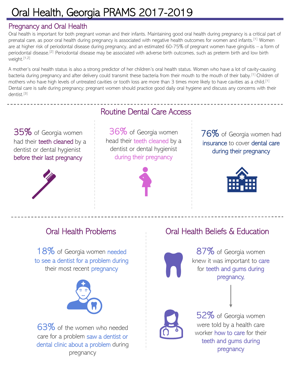# Oral Health, Georgia PRAMS 2017-2019

### Pregnancy and Oral Health

Oral health is important for both pregnant woman and their infants. Maintaining good oral health during pregnancy is a critical part of prenatal care, as poor oral health during pregnancy is associated with negative health outcomes for women and infants.[1] Women are at higher risk of periodontal disease during pregnancy, and an estimated 60-75% of pregnant women have gingivitis – a form of periodontal disease.<sup>[2]</sup> Periodontal disease may be associated with adverse birth outcomes, such as preterm birth and low birth weight.[1,2]

A mother's oral health status is also a strong predictor of her children's oral health status. Women who have a lot of cavity-causing bacteria during pregnancy and after delivery could transmit these bacteria from their mouth to the mouth of their baby.[1] Children of mothers who have high levels of untreated cavities or tooth loss are more than 3 times more likely to have cavities as a child.<sup>[1]</sup> Dental care is safe during pregnancy; pregnant women should practice good daily oral hygiene and discuss any concerns with their dentist.[3]

35% of Georgia women had their teeth cleaned by a dentist or dental hygienist before their last pregnancy



## Routine Dental Care Access

36% of Georgia women head their teeth cleaned by a dentist or dental hygienist during their pregnancy



76% of Georgia women had insurance to cover dental care during their pregnancy



18% of Georgia women needed to see a dentist for a problem during their most recent **pregnancy** 



63% of the women who needed care for a problem saw a dentist or dental clinic about a problem during pregnancy

## Oral Health Problems Oral Health Beliefs & Education

87% of Georgia women knew it was important to care for teeth and gums during pregnancy,



52% of Georgia women were told by a health care worker how to care for their teeth and gums during pregnancy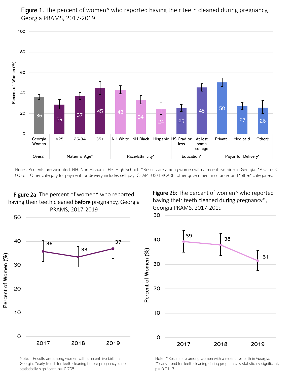

Figure 1. The percent of women<sup>^</sup> who reported having their teeth cleaned during pregnancy, Georgia PRAMS, 2017-2019

Notes: Percents are weighted. NH: Non-Hispanic; HS: High School. ^Results are among women with a recent live birth in Georgia. \*P-value < 0.05; †Other category for payment for delivery includes self-pay, CHAMPUS/TRICARE, other government insurance, and "other" categories.



Figure 2b: The percent of women<sup>^</sup> who reported having their teeth cleaned during pregnancy\*, Georgia PRAMS, 2017-2019





Note: ^Results are among women with a recent live birth in Georgia. Yearly trend for teeth cleaning before pregnancy is not statistically significant, p= 0.705.

Note: ^Results are among women with a recent live birth in Georgia. \*Yearly trend for teeth cleaning during pregnancy is statistically significant, p= 0.0117

50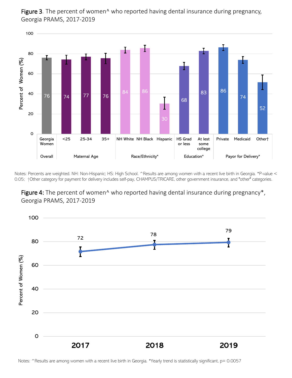

Figure 3. The percent of women<sup>^</sup> who reported having dental insurance during pregnancy, Georgia PRAMS, 2017-2019

Notes: Percents are weighted. NH: Non-Hispanic; HS: High School. ^Results are among women with a recent live birth in Georgia. \*P-value < 0.05;  $\dagger$ Other category for payment for delivery includes self-pay, CHAMPUS/TRICARE, other government insurance, and "other" categories.





Notes: ^Results are among women with a recent live birth in Georgia. \*Yearly trend is statistically significant, p= 0.0057